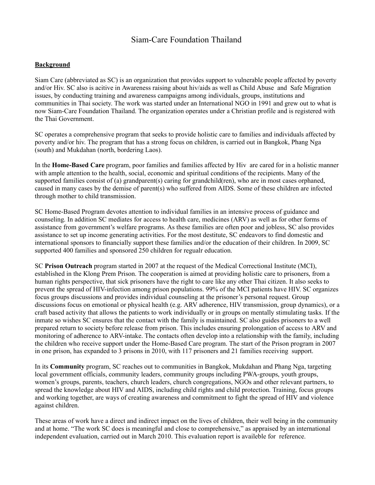## Siam-Care Foundation Thailand

## **Background**

Siam Care (abbreviated as SC) is an organization that provides support to vulnerable people affected by poverty and/or Hiv. SC also is acitive in Awareness raising about hiv/aids as well as Child Abuse and Safe Migration issues, by conducting training and awareness campaigns among individuals, groups, institutions and communities in Thai society. The work was started under an International NGO in 1991 and grew out to what is now Siam-Care Foundation Thailand. The organization operates under a Christian profile and is registered with the Thai Government.

SC operates a comprehensive program that seeks to provide holistic care to families and individuals affected by poverty and/or hiv. The program that has a strong focus on children, is carried out in Bangkok, Phang Nga (south) and Mukdahan (north, bordering Laos).

In the **Home-Based Care** program, poor families and families affected by Hiv are cared for in a holistic manner with ample attention to the health, social, economic and spiritual conditions of the recipients. Many of the supported families consist of (a) grandparent(s) caring for grandchild(ren), who are in most cases orphaned, caused in many cases by the demise of parent(s) who suffered from AIDS. Some of these children are infected through mother to child transmission.

SC Home-Based Program devotes attention to individual families in an intensive process of guidance and counseling. In addition SC mediates for access to health care, medicines (ARV) as well as for other forms of assistance from government's welfare programs. As these families are often poor and jobless, SC also provides assistance to set up income generating activities. For the most destitute, SC endeavors to find domestic and international sponsors to financially support these families and/or the education of their children. In 2009, SC supported 400 families and sponsored 250 children for regualr education.

SC **Prison Outreach** program started in 2007 at the request of the Medical Correctional Institute (MCI), established in the Klong Prem Prison. The cooperation is aimed at providing holistic care to prisoners, from a human rights perspective, that sick prisoners have the right to care like any other Thai citizen. It also seeks to prevent the spread of HIV-infection among prison populations. 99% of the MCI patients have HIV. SC organizes focus groups discussions and provides individual counseling at the prisoner's personal request. Group discussions focus on emotional or physical health (e.g. ARV adherence, HIV transmission, group dynamics), or a craft based activity that allows the patients to work individually or in groups on mentally stimulating tasks. If the inmate so wishes SC ensures that the contact with the family is maintained. SC also guides prisoners to a well prepared return to society before release from prison. This includes ensuring prolongation of access to ARV and monitoring of adherence to ARV-intake. The contacts often develop into a relationship with the family, including the children who receive support under the Home-Based Care program. The start of the Prison program in 2007 in one prison, has expanded to 3 prisons in 2010, with 117 prisoners and 21 families receiving support.

In its **Community** program, SC reaches out to communities in Bangkok, Mukdahan and Phang Nga, targeting local government officials, community leaders, community groups including PWA-groups, youth groups, women's groups, parents, teachers, church leaders, church congregations, NGOs and other relevant partners, to spread the knowledge about HIV and AIDS, including child rights and child protection. Training, focus groups and working together, are ways of creating awareness and commitment to fight the spread of HIV and violence against children.

These areas of work have a direct and indirect impact on the lives of children, their well being in the community and at home. "The work SC does is meaningful and close to comprehensive," as appraised by an international independent evaluation, carried out in March 2010. This evaluation report is availeble for reference.